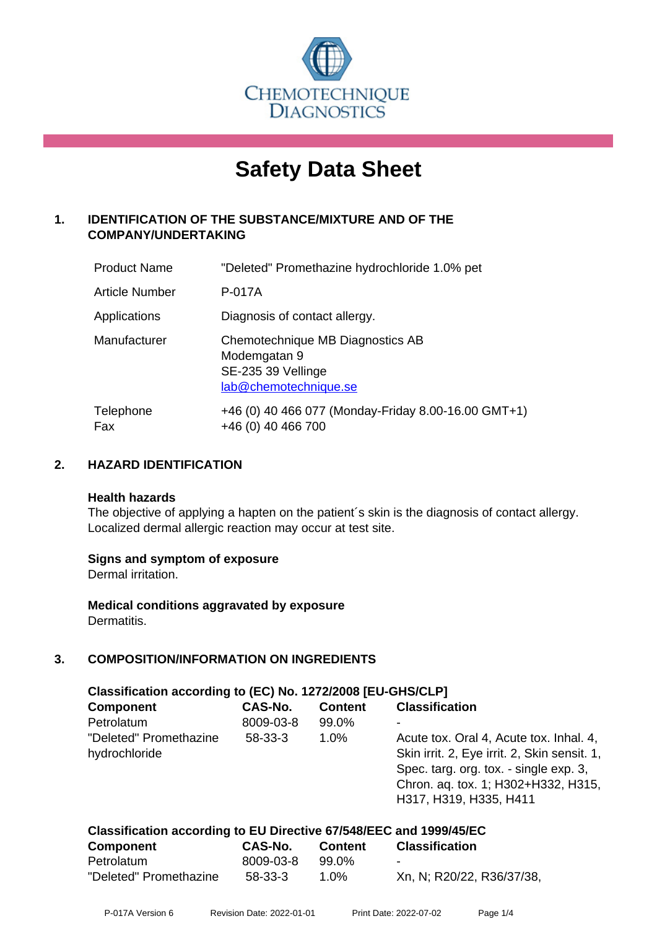

# **Safety Data Sheet**

# **1. IDENTIFICATION OF THE SUBSTANCE/MIXTURE AND OF THE COMPANY/UNDERTAKING**

| <b>Product Name</b>   | "Deleted" Promethazine hydrochloride 1.0% pet                                                   |
|-----------------------|-------------------------------------------------------------------------------------------------|
| <b>Article Number</b> | P-017A                                                                                          |
| Applications          | Diagnosis of contact allergy.                                                                   |
| Manufacturer          | Chemotechnique MB Diagnostics AB<br>Modemgatan 9<br>SE-235 39 Vellinge<br>lab@chemotechnique.se |
| Telephone<br>Fax      | +46 (0) 40 466 077 (Monday-Friday 8.00-16.00 GMT+1)<br>+46 (0) 40 466 700                       |

# **2. HAZARD IDENTIFICATION**

#### **Health hazards**

The objective of applying a hapten on the patient's skin is the diagnosis of contact allergy. Localized dermal allergic reaction may occur at test site.

# **Signs and symptom of exposure**

Dermal irritation.

**Medical conditions aggravated by exposure** Dermatitis.

# **3. COMPOSITION/INFORMATION ON INGREDIENTS**

| Classification according to (EC) No. 1272/2008 [EU-GHS/CLP] |           |                |                                                                                                                                                                                                    |  |  |
|-------------------------------------------------------------|-----------|----------------|----------------------------------------------------------------------------------------------------------------------------------------------------------------------------------------------------|--|--|
| <b>Component</b>                                            | CAS-No.   | <b>Content</b> | <b>Classification</b>                                                                                                                                                                              |  |  |
| Petrolatum                                                  | 8009-03-8 | 99.0%          |                                                                                                                                                                                                    |  |  |
| "Deleted" Promethazine<br>hydrochloride                     | $58-33-3$ | $1.0\%$        | Acute tox. Oral 4, Acute tox. Inhal. 4,<br>Skin irrit. 2, Eye irrit. 2, Skin sensit. 1,<br>Spec. targ. org. tox. - single exp. 3,<br>Chron. aq. tox. 1; H302+H332, H315,<br>H317, H319, H335, H411 |  |  |

| Classification according to EU Directive 67/548/EEC and 1999/45/EC |           |                |                           |  |  |
|--------------------------------------------------------------------|-----------|----------------|---------------------------|--|--|
| <b>Component</b>                                                   | CAS-No.   | <b>Content</b> | <b>Classification</b>     |  |  |
| Petrolatum                                                         | 8009-03-8 | 99.0%          | $\overline{\phantom{a}}$  |  |  |
| "Deleted" Promethazine                                             | 58-33-3   | 1.0%           | Xn, N; R20/22, R36/37/38, |  |  |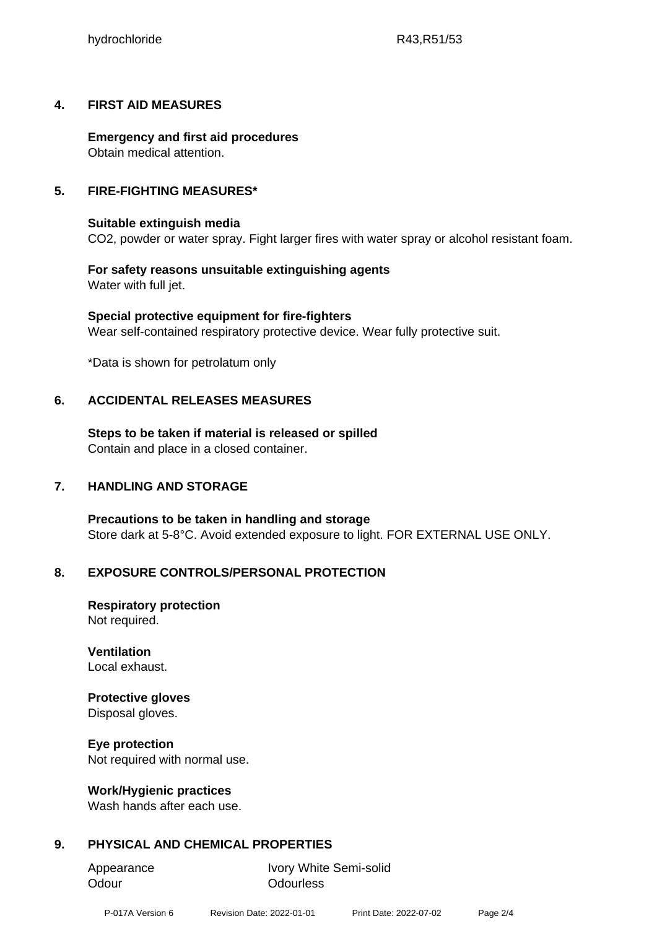# **4. FIRST AID MEASURES**

**Emergency and first aid procedures** Obtain medical attention.

# **5. FIRE-FIGHTING MEASURES\***

# **Suitable extinguish media**

CO2, powder or water spray. Fight larger fires with water spray or alcohol resistant foam.

# **For safety reasons unsuitable extinguishing agents** Water with full jet.

**Special protective equipment for fire-fighters** Wear self-contained respiratory protective device. Wear fully protective suit.

\*Data is shown for petrolatum only

# **6. ACCIDENTAL RELEASES MEASURES**

**Steps to be taken if material is released or spilled** Contain and place in a closed container.

# **7. HANDLING AND STORAGE**

**Precautions to be taken in handling and storage** Store dark at 5-8°C. Avoid extended exposure to light. FOR EXTERNAL USE ONLY.

# **8. EXPOSURE CONTROLS/PERSONAL PROTECTION**

**Respiratory protection** Not required.

**Ventilation** Local exhaust.

# **Protective gloves**

Disposal gloves.

# **Eye protection**

Not required with normal use.

# **Work/Hygienic practices**

Wash hands after each use.

# **9. PHYSICAL AND CHEMICAL PROPERTIES**

Odour **Odourless** 

Appearance Ivory White Semi-solid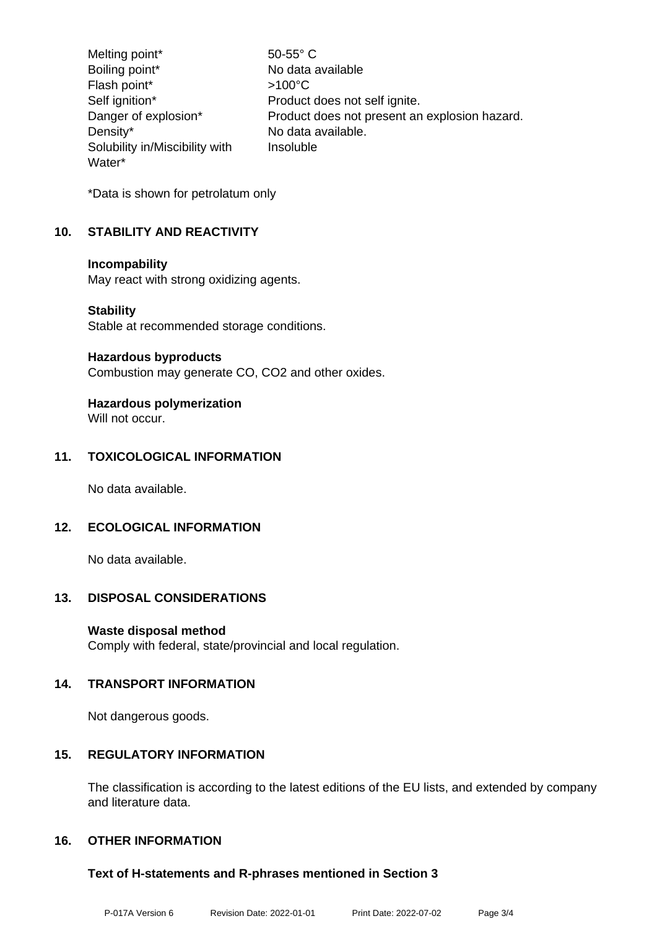Melting point\* 50-55° C Boiling point\* No data available Flash point\*  $>100^{\circ}$ C Self ignition\* Product does not self ignite. Danger of explosion\* Product does not present an explosion hazard. Density\* No data available. Solubility in/Miscibility with Water\* Insoluble

\*Data is shown for petrolatum only

# **10. STABILITY AND REACTIVITY**

#### **Incompability**

May react with strong oxidizing agents.

#### **Stability**

Stable at recommended storage conditions.

#### **Hazardous byproducts**

Combustion may generate CO, CO2 and other oxides.

# **Hazardous polymerization**

Will not occur.

# **11. TOXICOLOGICAL INFORMATION**

No data available.

# **12. ECOLOGICAL INFORMATION**

No data available.

# **13. DISPOSAL CONSIDERATIONS**

# **Waste disposal method**

Comply with federal, state/provincial and local regulation.

# **14. TRANSPORT INFORMATION**

Not dangerous goods.

# **15. REGULATORY INFORMATION**

The classification is according to the latest editions of the EU lists, and extended by company and literature data.

# **16. OTHER INFORMATION**

# **Text of H-statements and R-phrases mentioned in Section 3**